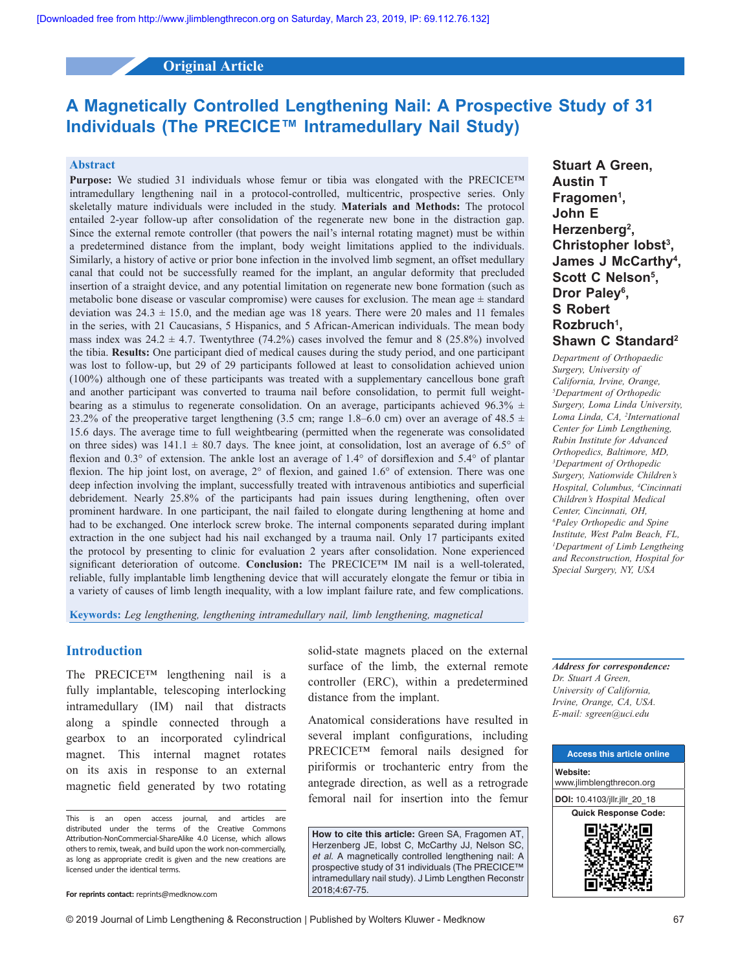# **Original Article**

# **A Magnetically Controlled Lengthening Nail: A Prospective Study of 31 Individuals (The PRECICE™ Intramedullary Nail Study)**

#### **Abstract**

**Purpose:** We studied 31 individuals whose femur or tibia was elongated with the PRECICE™ intramedullary lengthening nail in a protocol-controlled, multicentric, prospective series. Only skeletally mature individuals were included in the study. **Materials and Methods:** The protocol entailed 2-year follow-up after consolidation of the regenerate new bone in the distraction gap. Since the external remote controller (that powers the nail's internal rotating magnet) must be within a predetermined distance from the implant, body weight limitations applied to the individuals. Similarly, a history of active or prior bone infection in the involved limb segment, an offset medullary canal that could not be successfully reamed for the implant, an angular deformity that precluded insertion of a straight device, and any potential limitation on regenerate new bone formation (such as metabolic bone disease or vascular compromise) were causes for exclusion. The mean age  $\pm$  standard deviation was  $24.3 \pm 15.0$ , and the median age was 18 years. There were 20 males and 11 females in the series, with 21 Caucasians, 5 Hispanics, and 5 African-American individuals. The mean body mass index was  $24.2 \pm 4.7$ . Twentythree (74.2%) cases involved the femur and 8 (25.8%) involved the tibia. **Results:** One participant died of medical causes during the study period, and one participant was lost to follow-up, but 29 of 29 participants followed at least to consolidation achieved union (100%) although one of these participants was treated with a supplementary cancellous bone graft and another participant was converted to trauma nail before consolidation, to permit full weightbearing as a stimulus to regenerate consolidation. On an average, participants achieved 96.3%  $\pm$ 23.2% of the preoperative target lengthening (3.5 cm; range 1.8–6.0 cm) over an average of 48.5  $\pm$ 15.6 days. The average time to full weightbearing (permitted when the regenerate was consolidated on three sides) was  $141.1 \pm 80.7$  days. The knee joint, at consolidation, lost an average of 6.5° of flexion and 0.3° of extension. The ankle lost an average of 1.4° of dorsiflexion and 5.4° of plantar flexion. The hip joint lost, on average, 2° of flexion, and gained 1.6° of extension. There was one deep infection involving the implant, successfully treated with intravenous antibiotics and superficial debridement. Nearly 25.8% of the participants had pain issues during lengthening, often over prominent hardware. In one participant, the nail failed to elongate during lengthening at home and had to be exchanged. One interlock screw broke. The internal components separated during implant extraction in the one subject had his nail exchanged by a trauma nail. Only 17 participants exited the protocol by presenting to clinic for evaluation 2 years after consolidation. None experienced significant deterioration of outcome. **Conclusion:** The PRECICE<sup>TM</sup> IM nail is a well-tolerated, reliable, fully implantable limb lengthening device that will accurately elongate the femur or tibia in a variety of causes of limb length inequality, with a low implant failure rate, and few complications.

**Keywords:** *Leg lengthening, lengthening intramedullary nail, limb lengthening, magnetical*

## **Introduction**

The PRECICE™ lengthening nail is a fully implantable, telescoping interlocking intramedullary (IM) nail that distracts along a spindle connected through a gearbox to an incorporated cylindrical magnet. This internal magnet rotates on its axis in response to an external magnetic field generated by two rotating solid-state magnets placed on the external surface of the limb, the external remote controller (ERC), within a predetermined distance from the implant.

Anatomical considerations have resulted in several implant configurations, including PRECICE™ femoral nails designed for piriformis or trochanteric entry from the antegrade direction, as well as a retrograde femoral nail for insertion into the femur

**How to cite this article:** Green SA, Fragomen AT, Herzenberg JE, Iobst C, McCarthy JJ, Nelson SC, *et al*. A magnetically controlled lengthening nail: A prospective study of 31 individuals (The PRECICE™ intramedullary nail study). J Limb Lengthen Reconstr 2018;4:67-75.

**Stuart A Green, Austin T Fragomen1 , John E Herzenberg2 , Christopher Iobst3 , James J McCarthy4 ,**  Scott C Nelson<sup>5</sup>, **Dror Paley6 , S Robert Rozbruch1 , Shawn C Standard2**

*Department of Orthopaedic Surgery, University of California, Irvine, Orange, 5 Department of Orthopedic Surgery, Loma Linda University, Loma Linda, CA, 2 International Center for Limb Lengthening, Rubin Institute for Advanced Orthopedics, Baltimore, MD, 3 Department of Orthopedic Surgery, Nationwide Children's Hospital, Columbus, 4 Cincinnati Children's Hospital Medical Center, Cincinnati, OH, 6 Paley Orthopedic and Spine Institute, West Palm Beach, FL, 1 Department of Limb Lengtheing and Reconstruction, Hospital for Special Surgery, NY, USA*

*Address for correspondence: Dr. Stuart A Green, University of California, Irvine, Orange, CA, USA. E‑mail: sgreen@uci.edu*



This is an open access journal, and articles are distributed under the terms of the Creative Commons Attribution‑NonCommercial‑ShareAlike 4.0 License, which allows others to remix, tweak, and build upon the work non‑commercially, as long as appropriate credit is given and the new creations are licensed under the identical terms.

**For reprints contact:** reprints@medknow.com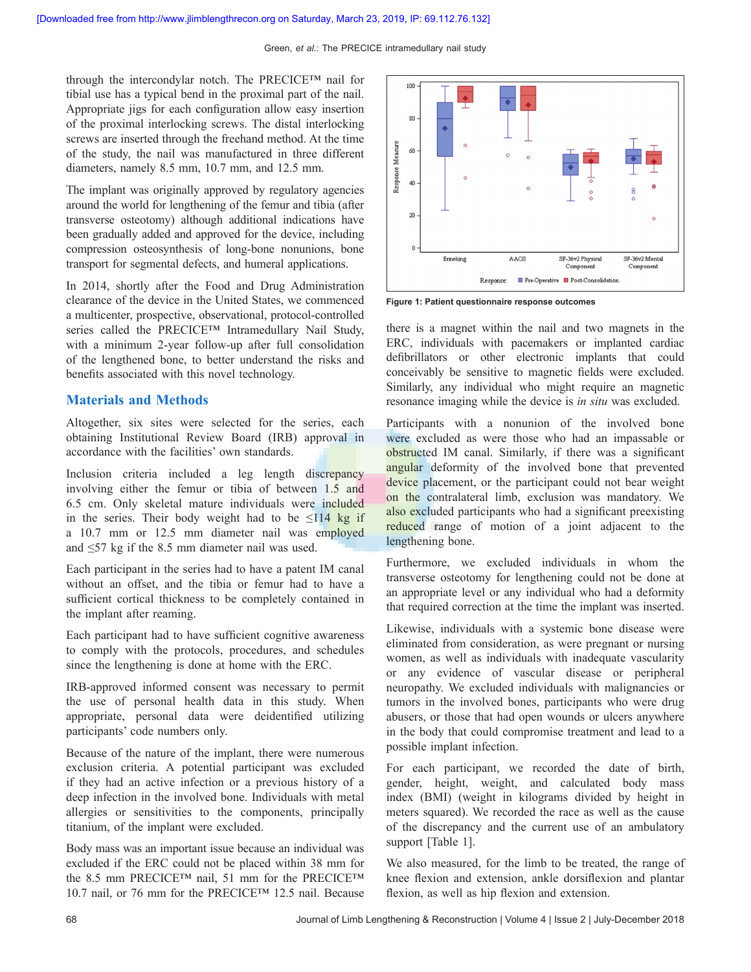through the intercondylar notch. The PRECICE™ nail for tibial use has a typical bend in the proximal part of the nail. Appropriate jigs for each configuration allow easy insertion of the proximal interlocking screws. The distal interlocking screws are inserted through the freehand method. At the time of the study, the nail was manufactured in three different diameters, namely 8.5 mm, 10.7 mm, and 12.5 mm.

The implant was originally approved by regulatory agencies around the world for lengthening of the femur and tibia (after transverse osteotomy) although additional indications have been gradually added and approved for the device, including compression osteosynthesis of long‑bone nonunions, bone transport for segmental defects, and humeral applications.

In 2014, shortly after the Food and Drug Administration clearance of the device in the United States, we commenced a multicenter, prospective, observational, protocol‑controlled series called the PRECICE™ Intramedullary Nail Study, with a minimum 2-year follow-up after full consolidation of the lengthened bone, to better understand the risks and benefits associated with this novel technology.

# **Materials and Methods**

Altogether, six sites were selected for the series, each obtaining Institutional Review Board (IRB) approval in accordance with the facilities' own standards.

Inclusion criteria included a leg length discrepancy involving either the femur or tibia of between 1.5 and 6.5 cm. Only skeletal mature individuals were included in the series. Their body weight had to be  $\leq 114$  kg if a 10.7 mm or 12.5 mm diameter nail was employed and ≤57 kg if the 8.5 mm diameter nail was used.

Each participant in the series had to have a patent IM canal without an offset, and the tibia or femur had to have a sufficient cortical thickness to be completely contained in the implant after reaming.

Each participant had to have sufficient cognitive awareness to comply with the protocols, procedures, and schedules since the lengthening is done at home with the ERC.

IRB‑approved informed consent was necessary to permit the use of personal health data in this study. When appropriate, personal data were deidentified utilizing participants' code numbers only.

Because of the nature of the implant, there were numerous exclusion criteria. A potential participant was excluded if they had an active infection or a previous history of a deep infection in the involved bone. Individuals with metal allergies or sensitivities to the components, principally titanium, of the implant were excluded.

Body mass was an important issue because an individual was excluded if the ERC could not be placed within 38 mm for the 8.5 mm PRECICE™ nail, 51 mm for the PRECICE™ 10.7 nail, or 76 mm for the PRECICE™ 12.5 nail. Because



**Figure 1: Patient questionnaire response outcomes**

there is a magnet within the nail and two magnets in the ERC, individuals with pacemakers or implanted cardiac defibrillators or other electronic implants that could conceivably be sensitive to magnetic fields were excluded. Similarly, any individual who might require an magnetic resonance imaging while the device is *in situ* was excluded.

Participants with a nonunion of the involved bone were excluded as were those who had an impassable or obstructed IM canal. Similarly, if there was a significant angular deformity of the involved bone that prevented device placement, or the participant could not bear weight on the contralateral limb, exclusion was mandatory. We also excluded participants who had a significant preexisting reduced range of motion of a joint adjacent to the lengthening bone.

Furthermore, we excluded individuals in whom the transverse osteotomy for lengthening could not be done at an appropriate level or any individual who had a deformity that required correction at the time the implant was inserted.

Likewise, individuals with a systemic bone disease were eliminated from consideration, as were pregnant or nursing women, as well as individuals with inadequate vascularity or any evidence of vascular disease or peripheral neuropathy. We excluded individuals with malignancies or tumors in the involved bones, participants who were drug abusers, or those that had open wounds or ulcers anywhere in the body that could compromise treatment and lead to a possible implant infection.

For each participant, we recorded the date of birth, gender, height, weight, and calculated body mass index (BMI) (weight in kilograms divided by height in meters squared). We recorded the race as well as the cause of the discrepancy and the current use of an ambulatory support [Table 1].

We also measured, for the limb to be treated, the range of knee flexion and extension, ankle dorsiflexion and plantar flexion, as well as hip flexion and extension.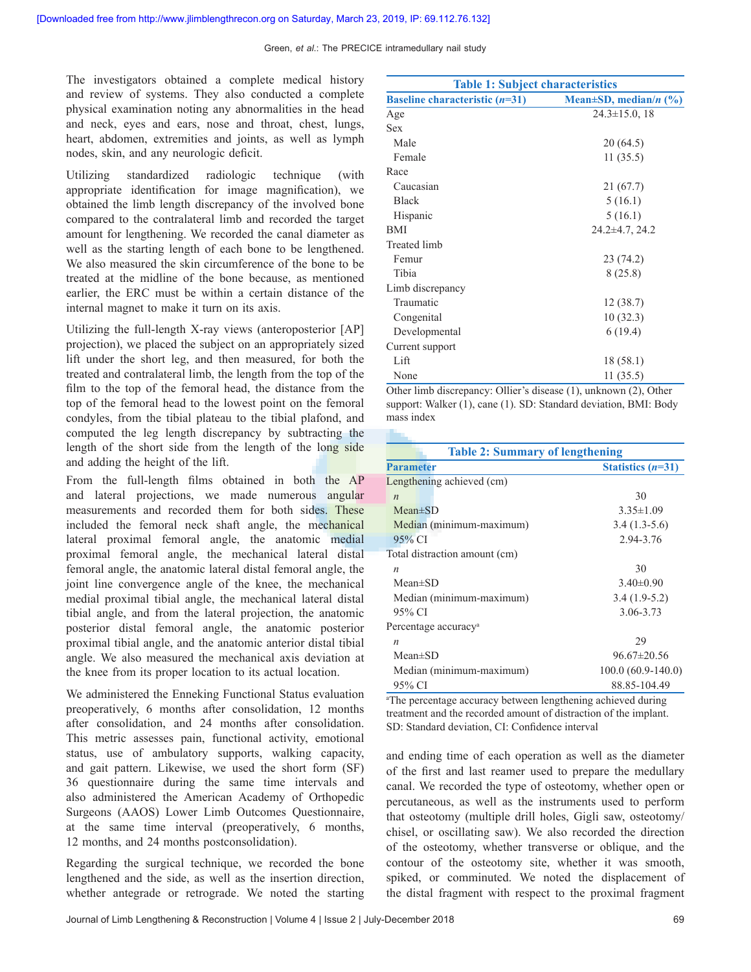Green, *et al*.: The PRECICE intramedullary nail study

The investigators obtained a complete medical history and review of systems. They also conducted a complete physical examination noting any abnormalities in the head and neck, eyes and ears, nose and throat, chest, lungs, heart, abdomen, extremities and joints, as well as lymph nodes, skin, and any neurologic deficit.

Utilizing standardized radiologic technique (with appropriate identification for image magnification), we obtained the limb length discrepancy of the involved bone compared to the contralateral limb and recorded the target amount for lengthening. We recorded the canal diameter as well as the starting length of each bone to be lengthened. We also measured the skin circumference of the bone to be treated at the midline of the bone because, as mentioned earlier, the ERC must be within a certain distance of the internal magnet to make it turn on its axis.

Utilizing the full-length X-ray views (anteroposterior [AP] projection), we placed the subject on an appropriately sized lift under the short leg, and then measured, for both the treated and contralateral limb, the length from the top of the film to the top of the femoral head, the distance from the top of the femoral head to the lowest point on the femoral condyles, from the tibial plateau to the tibial plafond, and computed the leg length discrepancy by subtracting the length of the short side from the length of the long side and adding the height of the lift.

From the full-length films obtained in both the AP and lateral projections, we made numerous angular measurements and recorded them for both sides. These included the femoral neck shaft angle, the mechanical lateral proximal femoral angle, the anatomic medial proximal femoral angle, the mechanical lateral distal femoral angle, the anatomic lateral distal femoral angle, the joint line convergence angle of the knee, the mechanical medial proximal tibial angle, the mechanical lateral distal tibial angle, and from the lateral projection, the anatomic posterior distal femoral angle, the anatomic posterior proximal tibial angle, and the anatomic anterior distal tibial angle. We also measured the mechanical axis deviation at the knee from its proper location to its actual location.

We administered the Enneking Functional Status evaluation preoperatively, 6 months after consolidation, 12 months after consolidation, and 24 months after consolidation. This metric assesses pain, functional activity, emotional status, use of ambulatory supports, walking capacity, and gait pattern. Likewise, we used the short form (SF) 36 questionnaire during the same time intervals and also administered the American Academy of Orthopedic Surgeons (AAOS) Lower Limb Outcomes Questionnaire, at the same time interval (preoperatively, 6 months, 12 months, and 24 months postconsolidation).

Regarding the surgical technique, we recorded the bone lengthened and the side, as well as the insertion direction, whether antegrade or retrograde. We noted the starting

| <b>Table 1: Subject characteristics</b>                              |                      |  |  |
|----------------------------------------------------------------------|----------------------|--|--|
| Baseline characteristic $(n=31)$<br>Mean $\pm SD$ , median/n $(\% )$ |                      |  |  |
| Age                                                                  | $24.3 \pm 15.0$ , 18 |  |  |
| <b>Sex</b>                                                           |                      |  |  |
| Male                                                                 | 20(64.5)             |  |  |
| Female                                                               | 11(35.5)             |  |  |
| Race                                                                 |                      |  |  |
| Caucasian                                                            | 21 (67.7)            |  |  |
| <b>Black</b>                                                         | 5(16.1)              |  |  |
| Hispanic                                                             | 5(16.1)              |  |  |
| BMI                                                                  | $24.2\pm4.7, 24.2$   |  |  |
| <b>Treated limb</b>                                                  |                      |  |  |
| Femur                                                                | 23(74.2)             |  |  |
| Tibia                                                                | 8(25.8)              |  |  |
| Limb discrepancy                                                     |                      |  |  |
| Traumatic                                                            | 12 (38.7)            |  |  |
| Congenital                                                           | 10(32.3)             |  |  |
| Developmental                                                        | 6(19.4)              |  |  |
| Current support                                                      |                      |  |  |
| Lift                                                                 | 18 (58.1)            |  |  |
| None                                                                 | 11(35.5)             |  |  |

Other limb discrepancy: Ollier's disease (1), unknown (2), Other support: Walker (1), cane (1). SD: Standard deviation, BMI: Body mass index

| <b>Table 2: Summary of lengthening</b>  |                     |  |  |
|-----------------------------------------|---------------------|--|--|
| <b>Parameter</b><br>Statistics $(n=31)$ |                     |  |  |
| Lengthening achieved (cm)               |                     |  |  |
| $\boldsymbol{n}$                        | 30                  |  |  |
| $Mean \pm SD$                           | $3.35 \pm 1.09$     |  |  |
| Median (minimum-maximum)                | $3.4(1.3-5.6)$      |  |  |
| 95% CI                                  | 2.94-3.76           |  |  |
| Total distraction amount (cm)           |                     |  |  |
| $\boldsymbol{n}$                        | 30                  |  |  |
| $Mean \pm SD$                           | $3.40\pm0.90$       |  |  |
| Median (minimum-maximum)                | $3.4(1.9-5.2)$      |  |  |
| 95% CI                                  | 3.06-3.73           |  |  |
| Percentage accuracy <sup>a</sup>        |                     |  |  |
| $\boldsymbol{n}$                        | 29                  |  |  |
| $Mean \pm SD$                           | $96.67 \pm 20.56$   |  |  |
| Median (minimum-maximum)                | $100.0(60.9-140.0)$ |  |  |
| 95% CI                                  | 88.85-104.49        |  |  |

a The percentage accuracy between lengthening achieved during treatment and the recorded amount of distraction of the implant. SD: Standard deviation, CI: Confidence interval

and ending time of each operation as well as the diameter of the first and last reamer used to prepare the medullary canal. We recorded the type of osteotomy, whether open or percutaneous, as well as the instruments used to perform that osteotomy (multiple drill holes, Gigli saw, osteotomy/ chisel, or oscillating saw). We also recorded the direction of the osteotomy, whether transverse or oblique, and the contour of the osteotomy site, whether it was smooth, spiked, or comminuted. We noted the displacement of the distal fragment with respect to the proximal fragment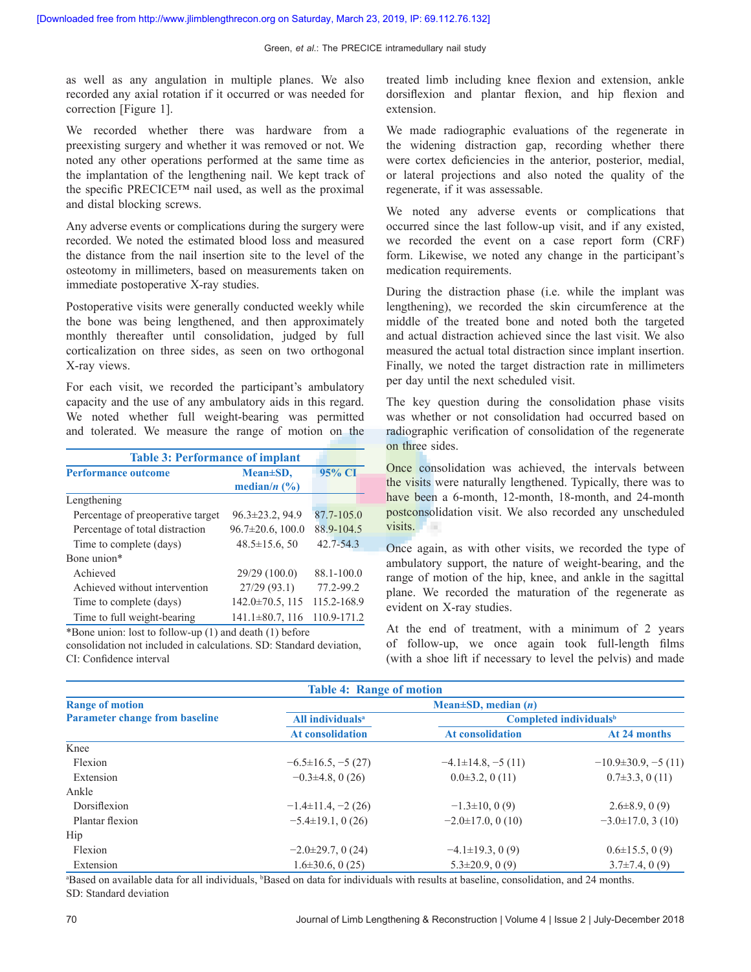as well as any angulation in multiple planes. We also recorded any axial rotation if it occurred or was needed for correction [Figure 1].

We recorded whether there was hardware from a preexisting surgery and whether it was removed or not. We noted any other operations performed at the same time as the implantation of the lengthening nail. We kept track of the specific PRECICE™ nail used, as well as the proximal and distal blocking screws.

Any adverse events or complications during the surgery were recorded. We noted the estimated blood loss and measured the distance from the nail insertion site to the level of the osteotomy in millimeters, based on measurements taken on immediate postoperative X-ray studies.

Postoperative visits were generally conducted weekly while the bone was being lengthened, and then approximately monthly thereafter until consolidation, judged by full corticalization on three sides, as seen on two orthogonal X‑ray views.

For each visit, we recorded the participant's ambulatory capacity and the use of any ambulatory aids in this regard. We noted whether full weight-bearing was permitted and tolerated. We measure the range of motion on the

| <b>Table 3: Performance of implant</b> |                         |               |  |
|----------------------------------------|-------------------------|---------------|--|
| <b>Performance outcome</b>             | Mean±SD,                | 95% CI        |  |
|                                        | median/ $n$ (%)         |               |  |
| Lengthening                            |                         |               |  |
| Percentage of preoperative target      | $96.3 \pm 23.2$ , 94.9  | 87.7-105.0    |  |
| Percentage of total distraction        | $96.7 \pm 20.6$ , 100.0 | 88.9-104.5    |  |
| Time to complete (days)                | $48.5 \pm 15.6$ , 50    | $42.7 - 54.3$ |  |
| Bone union*                            |                         |               |  |
| Achieved                               | 29/29 (100.0)           | 88.1-100.0    |  |
| Achieved without intervention          | 27/29(93.1)             | 77.2-99.2     |  |
| Time to complete (days)                | $142.0 \pm 70.5$ , 115  | 115.2-168.9   |  |
| Time to full weight-bearing            | $141.1\pm80.7$ , 116    | 110.9-171.2   |  |
|                                        |                         |               |  |

\*Bone union: lost to follow‑up (1) and death (1) before consolidation not included in calculations. SD: Standard deviation, CI: Confidence interval

treated limb including knee flexion and extension, ankle dorsiflexion and plantar flexion, and hip flexion and extension.

We made radiographic evaluations of the regenerate in the widening distraction gap, recording whether there were cortex deficiencies in the anterior, posterior, medial, or lateral projections and also noted the quality of the regenerate, if it was assessable.

We noted any adverse events or complications that occurred since the last follow‑up visit, and if any existed, we recorded the event on a case report form (CRF) form. Likewise, we noted any change in the participant's medication requirements.

During the distraction phase (i.e. while the implant was lengthening), we recorded the skin circumference at the middle of the treated bone and noted both the targeted and actual distraction achieved since the last visit. We also measured the actual total distraction since implant insertion. Finally, we noted the target distraction rate in millimeters per day until the next scheduled visit.

The key question during the consolidation phase visits was whether or not consolidation had occurred based on radiographic verification of consolidation of the regenerate on three sides.

Once consolidation was achieved, the intervals between the visits were naturally lengthened. Typically, there was to have been a 6-month, 12-month, 18-month, and 24-month postconsolidation visit. We also recorded any unscheduled visits.

Once again, as with other visits, we recorded the type of ambulatory support, the nature of weight‑bearing, and the range of motion of the hip, knee, and ankle in the sagittal plane. We recorded the maturation of the regenerate as evident on X-ray studies.

At the end of treatment, with a minimum of 2 years of follow-up, we once again took full-length films (with a shoe lift if necessary to level the pelvis) and made

| <b>Table 4: Range of motion</b>       |                              |                              |                                    |
|---------------------------------------|------------------------------|------------------------------|------------------------------------|
| <b>Range of motion</b>                |                              | Mean $\pm SD$ , median $(n)$ |                                    |
| <b>Parameter change from baseline</b> | All individuals <sup>a</sup> |                              | Completed individuals <sup>b</sup> |
|                                       | <b>At consolidation</b>      | <b>At consolidation</b>      | At 24 months                       |
| Knee                                  |                              |                              |                                    |
| Flexion                               | $-6.5\pm16.5, -5(27)$        | $-4.1 \pm 14.8, -5(11)$      | $-10.9\pm30.9, -5(11)$             |
| Extension                             | $-0.3\pm4.8$ , 0 (26)        | $0.0\pm3.2$ , 0 (11)         | $0.7\pm3.3$ , 0 (11)               |
| Ankle                                 |                              |                              |                                    |
| Dorsiflexion                          | $-1.4\pm11.4$ , $-2(26)$     | $-1.3\pm10$ , 0(9)           | $2.6\pm8.9, 0(9)$                  |
| Plantar flexion                       | $-5.4\pm19.1, 0(26)$         | $-2.0 \pm 17.0, 0(10)$       | $-3.0 \pm 17.0$ , 3 (10)           |
| Hip                                   |                              |                              |                                    |
| Flexion                               | $-2.0\pm 29.7, 0(24)$        | $-4.1 \pm 19.3$ , 0(9)       | $0.6 \pm 15.5, 0(9)$               |
| Extension                             | $1.6\pm30.6$ , 0 (25)        | $5.3 \pm 20.9, 0(9)$         | $3.7\pm7.4$ , 0(9)                 |

<sup>a</sup>Based on available data for all individuals, <sup>b</sup>Based on data for individuals with results at baseline, consolidation, and 24 months. SD: Standard deviation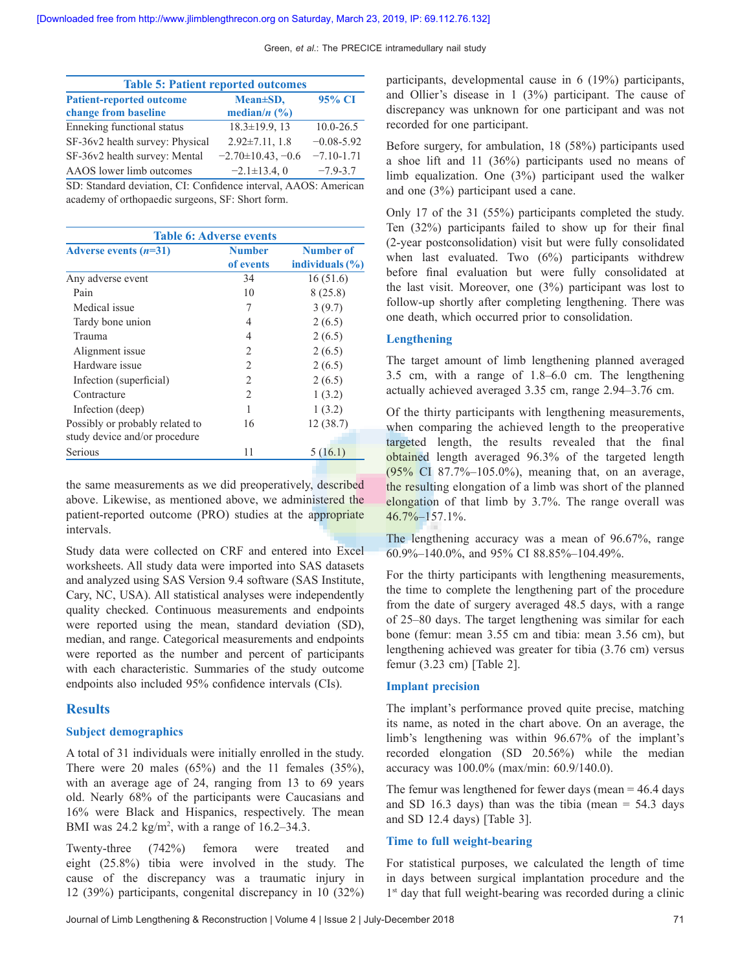Green, *et al*.: The PRECICE intramedullary nail study

| <b>Table 5: Patient reported outcomes</b> |                         |                |  |  |
|-------------------------------------------|-------------------------|----------------|--|--|
| <b>Patient-reported outcome</b>           | Mean±SD,                | 95% CI         |  |  |
| change from baseline                      | median/ $n$ (%)         |                |  |  |
| Enneking functional status                | $18.3 \pm 19.9$ , 13    | $10.0 - 26.5$  |  |  |
| SF-36v2 health survey: Physical           | $2.92 \pm 7.11$ , 1.8   | $-0.08 - 5.92$ |  |  |
| SF-36v2 health survey: Mental             | $-2.70 \pm 10.43, -0.6$ | $-7.10 - 1.71$ |  |  |
| AAOS lower limb outcomes                  | $-2.1 \pm 13.4$ , 0     | $-7.9 - 3.7$   |  |  |

SD: Standard deviation, CI: Confidence interval, AAOS: American academy of orthopaedic surgeons, SF: Short form.

| <b>Table 6: Adverse events</b>                                   |                            |                                  |  |  |
|------------------------------------------------------------------|----------------------------|----------------------------------|--|--|
| Adverse events $(n=31)$                                          | <b>Number</b><br>of events | Number of<br>individuals $(\% )$ |  |  |
| Any adverse event                                                | 34                         | 16(51.6)                         |  |  |
| Pain                                                             | 10                         | 8(25.8)                          |  |  |
| Medical issue                                                    | 7                          | 3(9.7)                           |  |  |
| Tardy bone union                                                 | 4                          | 2(6.5)                           |  |  |
| Trauma                                                           | 4                          | 2(6.5)                           |  |  |
| Alignment issue                                                  | $\mathfrak{D}_{1}^{(1)}$   | 2(6.5)                           |  |  |
| Hardware issue                                                   | $\overline{2}$             | 2(6.5)                           |  |  |
| Infection (superficial)                                          | 2                          | 2(6.5)                           |  |  |
| Contracture                                                      | $\overline{2}$             | 1(3.2)                           |  |  |
| Infection (deep)                                                 | 1                          | 1(3.2)                           |  |  |
| Possibly or probably related to<br>study device and/or procedure | 16                         | 12 (38.7)                        |  |  |
| Serious                                                          | 11                         | 5(16.1)                          |  |  |

the same measurements as we did preoperatively, described above. Likewise, as mentioned above, we administered the patient-reported outcome (PRO) studies at the appropriate intervals.

Study data were collected on CRF and entered into Excel worksheets. All study data were imported into SAS datasets and analyzed using SAS Version 9.4 software (SAS Institute, Cary, NC, USA). All statistical analyses were independently quality checked. Continuous measurements and endpoints were reported using the mean, standard deviation (SD), median, and range. Categorical measurements and endpoints were reported as the number and percent of participants with each characteristic. Summaries of the study outcome endpoints also included 95% confidence intervals (CIs).

# **Results**

#### **Subject demographics**

A total of 31 individuals were initially enrolled in the study. There were 20 males  $(65\%)$  and the 11 females  $(35\%)$ , with an average age of 24, ranging from 13 to 69 years old. Nearly 68% of the participants were Caucasians and 16% were Black and Hispanics, respectively. The mean BMI was  $24.2 \text{ kg/m}^2$ , with a range of  $16.2-34.3$ .

Twenty-three (742%) femora were treated and eight (25.8%) tibia were involved in the study. The cause of the discrepancy was a traumatic injury in 12 (39%) participants, congenital discrepancy in 10 (32%) participants, developmental cause in 6 (19%) participants, and Ollier's disease in 1 (3%) participant. The cause of discrepancy was unknown for one participant and was not recorded for one participant.

Before surgery, for ambulation, 18 (58%) participants used a shoe lift and 11 (36%) participants used no means of limb equalization. One (3%) participant used the walker and one (3%) participant used a cane.

Only 17 of the 31 (55%) participants completed the study. Ten (32%) participants failed to show up for their final (2‑year postconsolidation) visit but were fully consolidated when last evaluated. Two (6%) participants withdrew before final evaluation but were fully consolidated at the last visit. Moreover, one (3%) participant was lost to follow‑up shortly after completing lengthening. There was one death, which occurred prior to consolidation.

## **Lengthening**

The target amount of limb lengthening planned averaged 3.5 cm, with a range of 1.8–6.0 cm. The lengthening actually achieved averaged 3.35 cm, range 2.94–3.76 cm.

Of the thirty participants with lengthening measurements, when comparing the achieved length to the preoperative targeted length, the results revealed that the final obtained length averaged 96.3% of the targeted length (95% CI 87.7%–105.0%), meaning that, on an average, the resulting elongation of a limb was short of the planned elongation of that limb by 3.7%. The range overall was 46.7%–157.1%.

The lengthening accuracy was a mean of 96.67%, range 60.9%–140.0%, and 95% CI 88.85%–104.49%.

For the thirty participants with lengthening measurements, the time to complete the lengthening part of the procedure from the date of surgery averaged 48.5 days, with a range of 25–80 days. The target lengthening was similar for each bone (femur: mean 3.55 cm and tibia: mean 3.56 cm), but lengthening achieved was greater for tibia (3.76 cm) versus femur (3.23 cm) [Table 2].

#### **Implant precision**

The implant's performance proved quite precise, matching its name, as noted in the chart above. On an average, the limb's lengthening was within 96.67% of the implant's recorded elongation (SD 20.56%) while the median accuracy was 100.0% (max/min: 60.9/140.0).

The femur was lengthened for fewer days (mean  $=$  46.4 days and SD 16.3 days) than was the tibia (mean  $=$  54.3 days and SD 12.4 days) [Table 3].

#### **Time to full weight‑bearing**

For statistical purposes, we calculated the length of time in days between surgical implantation procedure and the 1<sup>st</sup> day that full weight-bearing was recorded during a clinic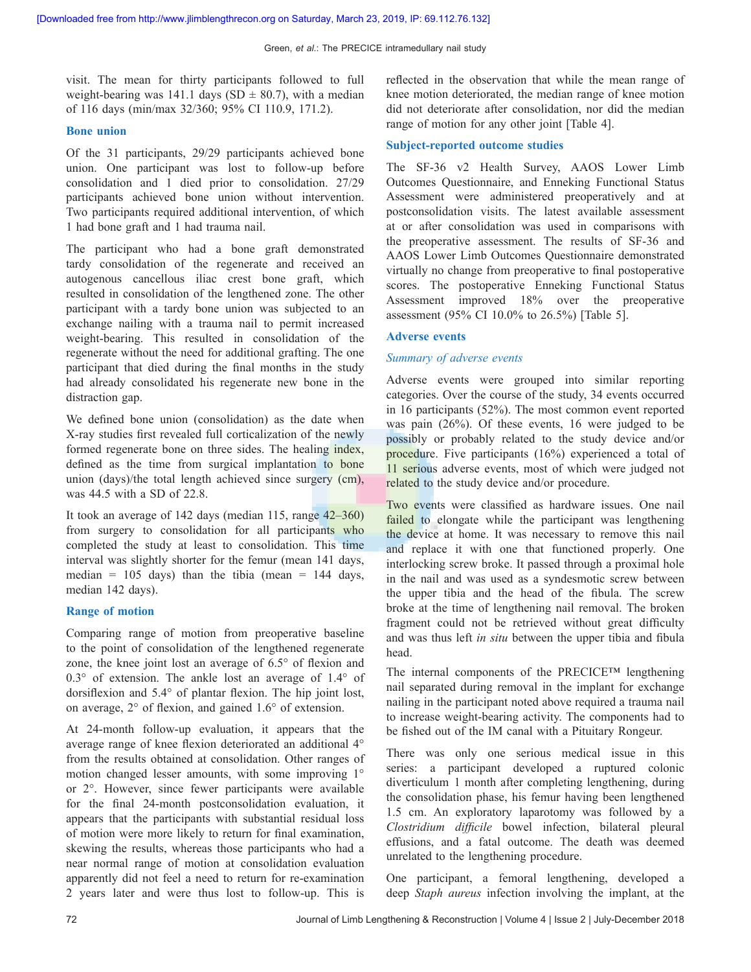visit. The mean for thirty participants followed to full weight-bearing was 141.1 days (SD  $\pm$  80.7), with a median of 116 days (min/max 32/360; 95% CI 110.9, 171.2).

#### **Bone union**

Of the 31 participants, 29/29 participants achieved bone union. One participant was lost to follow-up before consolidation and 1 died prior to consolidation. 27/29 participants achieved bone union without intervention. Two participants required additional intervention, of which 1 had bone graft and 1 had trauma nail.

The participant who had a bone graft demonstrated tardy consolidation of the regenerate and received an autogenous cancellous iliac crest bone graft, which resulted in consolidation of the lengthened zone. The other participant with a tardy bone union was subjected to an exchange nailing with a trauma nail to permit increased weight-bearing. This resulted in consolidation of the regenerate without the need for additional grafting. The one participant that died during the final months in the study had already consolidated his regenerate new bone in the distraction gap.

We defined bone union (consolidation) as the date when X‑ray studies first revealed full corticalization of the newly formed regenerate bone on three sides. The healing index, defined as the time from surgical implantation to bone union (days)/the total length achieved since surgery (cm), was 44.5 with a SD of 22.8.

It took an average of 142 days (median 115, range 42–360) from surgery to consolidation for all participants who completed the study at least to consolidation. This time interval was slightly shorter for the femur (mean 141 days, median =  $105$  days) than the tibia (mean =  $144$  days, median 142 days).

#### **Range of motion**

Comparing range of motion from preoperative baseline to the point of consolidation of the lengthened regenerate zone, the knee joint lost an average of 6.5° of flexion and 0.3° of extension. The ankle lost an average of 1.4° of dorsiflexion and 5.4° of plantar flexion. The hip joint lost, on average, 2° of flexion, and gained 1.6° of extension.

At 24‑month follow‑up evaluation, it appears that the average range of knee flexion deteriorated an additional 4° from the results obtained at consolidation. Other ranges of motion changed lesser amounts, with some improving 1° or 2°. However, since fewer participants were available for the final 24‑month postconsolidation evaluation, it appears that the participants with substantial residual loss of motion were more likely to return for final examination, skewing the results, whereas those participants who had a near normal range of motion at consolidation evaluation apparently did not feel a need to return for re‑examination 2 years later and were thus lost to follow‑up. This is

reflected in the observation that while the mean range of knee motion deteriorated, the median range of knee motion did not deteriorate after consolidation, nor did the median range of motion for any other joint [Table 4].

#### **Subject‑reported outcome studies**

The SF-36 v2 Health Survey, AAOS Lower Limb Outcomes Questionnaire, and Enneking Functional Status Assessment were administered preoperatively and at postconsolidation visits. The latest available assessment at or after consolidation was used in comparisons with the preoperative assessment. The results of SF‑36 and AAOS Lower Limb Outcomes Questionnaire demonstrated virtually no change from preoperative to final postoperative scores. The postoperative Enneking Functional Status Assessment improved 18% over the preoperative assessment (95% CI 10.0% to 26.5%) [Table 5].

#### **Adverse events**

#### *Summary of adverse events*

Adverse events were grouped into similar reporting categories. Over the course of the study, 34 events occurred in 16 participants (52%). The most common event reported was pain (26%). Of these events, 16 were judged to be possibly or probably related to the study device and/or procedure. Five participants (16%) experienced a total of 11 serious adverse events, most of which were judged not related to the study device and/or procedure.

Two events were classified as hardware issues. One nail failed to elongate while the participant was lengthening the device at home. It was necessary to remove this nail and replace it with one that functioned properly. One interlocking screw broke. It passed through a proximal hole in the nail and was used as a syndesmotic screw between the upper tibia and the head of the fibula. The screw broke at the time of lengthening nail removal. The broken fragment could not be retrieved without great difficulty and was thus left *in situ* between the upper tibia and fibula head.

The internal components of the PRECICE™ lengthening nail separated during removal in the implant for exchange nailing in the participant noted above required a trauma nail to increase weight-bearing activity. The components had to be fished out of the IM canal with a Pituitary Rongeur.

There was only one serious medical issue in this series: a participant developed a ruptured colonic diverticulum  1 month after completing lengthening, during the consolidation phase, his femur having been lengthened 1.5 cm. An exploratory laparotomy was followed by a *Clostridium difficile* bowel infection, bilateral pleural effusions, and a fatal outcome. The death was deemed unrelated to the lengthening procedure.

One participant, a femoral lengthening, developed a deep *Staph aureus* infection involving the implant, at the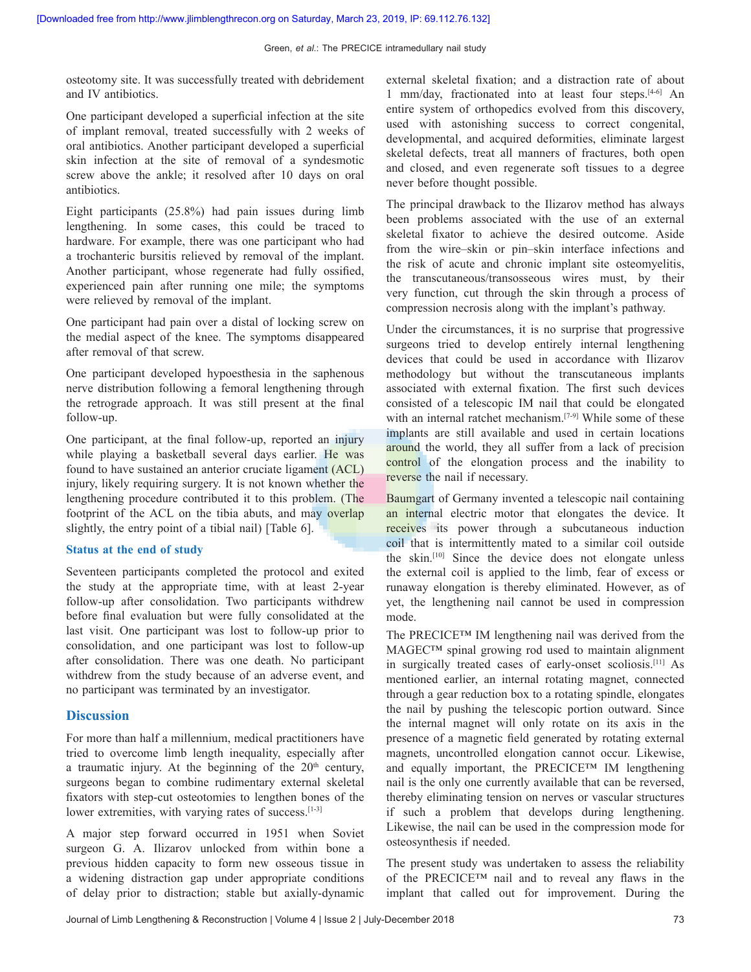osteotomy site. It was successfully treated with debridement and IV antibiotics.

One participant developed a superficial infection at the site of implant removal, treated successfully with 2 weeks of oral antibiotics. Another participant developed a superficial skin infection at the site of removal of a syndesmotic screw above the ankle; it resolved after 10 days on oral antibiotics.

Eight participants (25.8%) had pain issues during limb lengthening. In some cases, this could be traced to hardware. For example, there was one participant who had a trochanteric bursitis relieved by removal of the implant. Another participant, whose regenerate had fully ossified, experienced pain after running one mile; the symptoms were relieved by removal of the implant.

One participant had pain over a distal of locking screw on the medial aspect of the knee. The symptoms disappeared after removal of that screw.

One participant developed hypoesthesia in the saphenous nerve distribution following a femoral lengthening through the retrograde approach. It was still present at the final follow‑up.

One participant, at the final follow-up, reported an injury while playing a basketball several days earlier. He was found to have sustained an anterior cruciate ligament (ACL) injury, likely requiring surgery. It is not known whether the lengthening procedure contributed it to this problem. (The footprint of the ACL on the tibia abuts, and may overlap slightly, the entry point of a tibial nail) [Table 6].

#### **Status at the end of study**

Seventeen participants completed the protocol and exited the study at the appropriate time, with at least 2‑year follow‑up after consolidation. Two participants withdrew before final evaluation but were fully consolidated at the last visit. One participant was lost to follow‑up prior to consolidation, and one participant was lost to follow‑up after consolidation. There was one death. No participant withdrew from the study because of an adverse event, and no participant was terminated by an investigator.

# **Discussion**

For more than half a millennium, medical practitioners have tried to overcome limb length inequality, especially after a traumatic injury. At the beginning of the  $20<sup>th</sup>$  century, surgeons began to combine rudimentary external skeletal fixators with step‑cut osteotomies to lengthen bones of the lower extremities, with varying rates of success.<sup>[1-3]</sup>

A major step forward occurred in 1951 when Soviet surgeon G. A. Ilizarov unlocked from within bone a previous hidden capacity to form new osseous tissue in a widening distraction gap under appropriate conditions of delay prior to distraction; stable but axially‑dynamic external skeletal fixation; and a distraction rate of about 1 mm/day, fractionated into at least four steps.[4‑6] An entire system of orthopedics evolved from this discovery, used with astonishing success to correct congenital, developmental, and acquired deformities, eliminate largest skeletal defects, treat all manners of fractures, both open and closed, and even regenerate soft tissues to a degree never before thought possible.

The principal drawback to the Ilizarov method has always been problems associated with the use of an external skeletal fixator to achieve the desired outcome. Aside from the wire–skin or pin–skin interface infections and the risk of acute and chronic implant site osteomyelitis, the transcutaneous/transosseous wires must, by their very function, cut through the skin through a process of compression necrosis along with the implant's pathway.

Under the circumstances, it is no surprise that progressive surgeons tried to develop entirely internal lengthening devices that could be used in accordance with Ilizarov methodology but without the transcutaneous implants associated with external fixation. The first such devices consisted of a telescopic IM nail that could be elongated with an internal ratchet mechanism.<sup>[7-9]</sup> While some of these implants are still available and used in certain locations around the world, they all suffer from a lack of precision control of the elongation process and the inability to reverse the nail if necessary.

Baumgart of Germany invented a telescopic nail containing an internal electric motor that elongates the device. It receives its power through a subcutaneous induction coil that is intermittently mated to a similar coil outside the skin.[10] Since the device does not elongate unless the external coil is applied to the limb, fear of excess or runaway elongation is thereby eliminated. However, as of yet, the lengthening nail cannot be used in compression mode.

The PRECICE™ IM lengthening nail was derived from the MAGEC™ spinal growing rod used to maintain alignment in surgically treated cases of early-onset scoliosis.<sup>[11]</sup> As mentioned earlier, an internal rotating magnet, connected through a gear reduction box to a rotating spindle, elongates the nail by pushing the telescopic portion outward. Since the internal magnet will only rotate on its axis in the presence of a magnetic field generated by rotating external magnets, uncontrolled elongation cannot occur. Likewise, and equally important, the PRECICE™ IM lengthening nail is the only one currently available that can be reversed, thereby eliminating tension on nerves or vascular structures if such a problem that develops during lengthening. Likewise, the nail can be used in the compression mode for osteosynthesis if needed.

The present study was undertaken to assess the reliability of the PRECICE™ nail and to reveal any flaws in the implant that called out for improvement. During the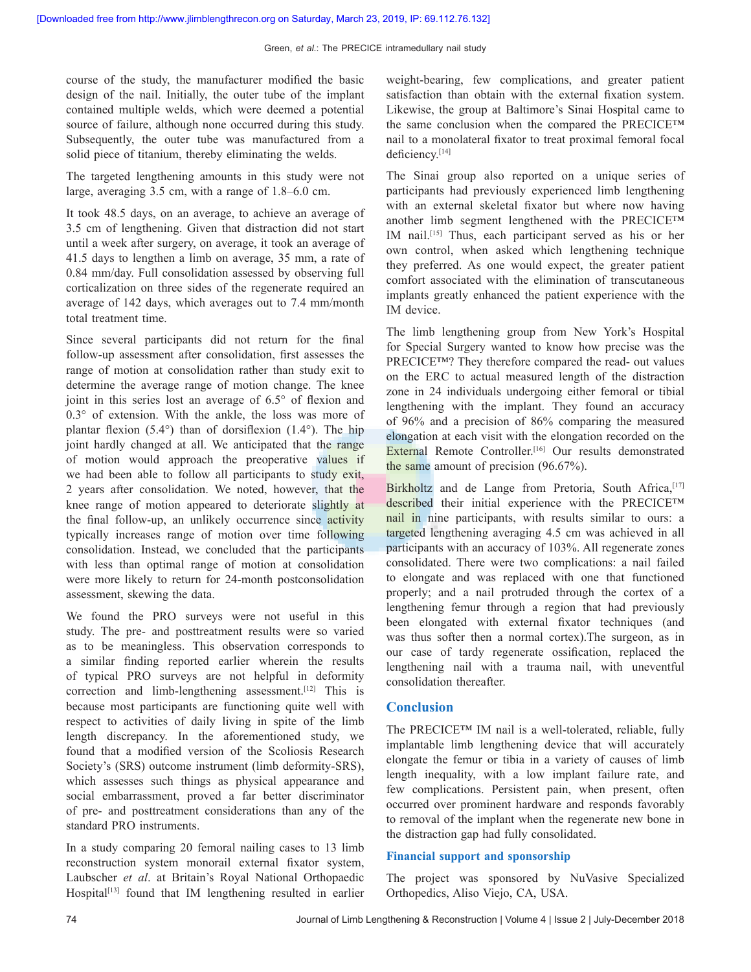course of the study, the manufacturer modified the basic design of the nail. Initially, the outer tube of the implant contained multiple welds, which were deemed a potential source of failure, although none occurred during this study. Subsequently, the outer tube was manufactured from a solid piece of titanium, thereby eliminating the welds.

The targeted lengthening amounts in this study were not large, averaging 3.5 cm, with a range of 1.8–6.0 cm.

It took 48.5 days, on an average, to achieve an average of 3.5 cm of lengthening. Given that distraction did not start until a week after surgery, on average, it took an average of 41.5 days to lengthen a limb on average, 35 mm, a rate of 0.84 mm/day. Full consolidation assessed by observing full corticalization on three sides of the regenerate required an average of 142 days, which averages out to 7.4 mm/month total treatment time.

Since several participants did not return for the final follow‑up assessment after consolidation, first assesses the range of motion at consolidation rather than study exit to determine the average range of motion change. The knee joint in this series lost an average of 6.5° of flexion and 0.3° of extension. With the ankle, the loss was more of plantar flexion (5.4°) than of dorsiflexion (1.4°). The hip joint hardly changed at all. We anticipated that the range of motion would approach the preoperative values if we had been able to follow all participants to study exit, 2 years after consolidation. We noted, however, that the knee range of motion appeared to deteriorate slightly at the final follow-up, an unlikely occurrence since activity typically increases range of motion over time following consolidation. Instead, we concluded that the participants with less than optimal range of motion at consolidation were more likely to return for 24-month postconsolidation assessment, skewing the data.

We found the PRO surveys were not useful in this study. The pre‑ and posttreatment results were so varied as to be meaningless. This observation corresponds to a similar finding reported earlier wherein the results of typical PRO surveys are not helpful in deformity correction and limb-lengthening assessment.<sup>[12]</sup> This is because most participants are functioning quite well with respect to activities of daily living in spite of the limb length discrepancy. In the aforementioned study, we found that a modified version of the Scoliosis Research Society's (SRS) outcome instrument (limb deformity‑SRS), which assesses such things as physical appearance and social embarrassment, proved a far better discriminator of pre‑ and posttreatment considerations than any of the standard PRO instruments.

In a study comparing 20 femoral nailing cases to 13 limb reconstruction system monorail external fixator system, Laubscher *et al*. at Britain's Royal National Orthopaedic Hospital<sup>[13]</sup> found that IM lengthening resulted in earlier weight-bearing, few complications, and greater patient satisfaction than obtain with the external fixation system. Likewise, the group at Baltimore's Sinai Hospital came to the same conclusion when the compared the PRECICE™ nail to a monolateral fixator to treat proximal femoral focal deficiency.<sup>[14]</sup>

The Sinai group also reported on a unique series of participants had previously experienced limb lengthening with an external skeletal fixator but where now having another limb segment lengthened with the PRECICE™ IM nail.[15] Thus, each participant served as his or her own control, when asked which lengthening technique they preferred. As one would expect, the greater patient comfort associated with the elimination of transcutaneous implants greatly enhanced the patient experience with the IM device.

The limb lengthening group from New York's Hospital for Special Surgery wanted to know how precise was the PRECICE™? They therefore compared the read- out values on the ERC to actual measured length of the distraction zone in 24 individuals undergoing either femoral or tibial lengthening with the implant. They found an accuracy of 96% and a precision of 86% comparing the measured elongation at each visit with the elongation recorded on the External Remote Controller.<sup>[16]</sup> Our results demonstrated the same amount of precision (96.67%).

Birkholtz and de Lange from Pretoria, South Africa,<sup>[17]</sup> described their initial experience with the PRECICE™ nail in nine participants, with results similar to ours: a targeted lengthening averaging 4.5 cm was achieved in all participants with an accuracy of 103%. All regenerate zones consolidated. There were two complications: a nail failed to elongate and was replaced with one that functioned properly; and a nail protruded through the cortex of a lengthening femur through a region that had previously been elongated with external fixator techniques (and was thus softer then a normal cortex).The surgeon, as in our case of tardy regenerate ossification, replaced the lengthening nail with a trauma nail, with uneventful consolidation thereafter.

# **Conclusion**

The PRECICE™ IM nail is a well-tolerated, reliable, fully implantable limb lengthening device that will accurately elongate the femur or tibia in a variety of causes of limb length inequality, with a low implant failure rate, and few complications. Persistent pain, when present, often occurred over prominent hardware and responds favorably to removal of the implant when the regenerate new bone in the distraction gap had fully consolidated.

### **Financial support and sponsorship**

The project was sponsored by NuVasive Specialized Orthopedics, Aliso Viejo, CA, USA.